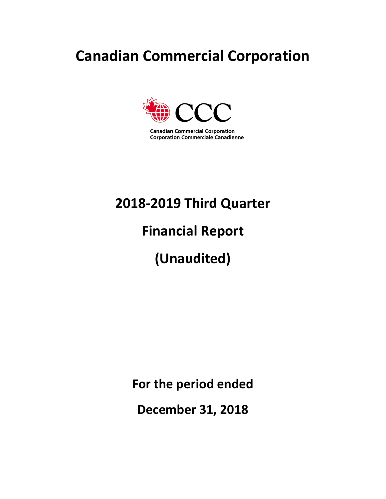## **Canadian Commercial Corporation**



**Canadian Commercial Corporation Corporation Commerciale Canadienne** 

## **2018-2019 Third Quarter**

## **Financial Report**

# **(Unaudited)**

**For the period ended** 

**December 31, 2018**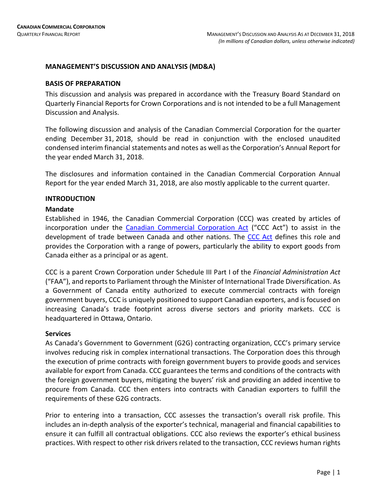### **MANAGEMENT'S DISCUSSION AND ANALYSIS (MD&A)**

#### **BASIS OF PREPARATION**

This discussion and analysis was prepared in accordance with the Treasury Board Standard on Quarterly Financial Reports for Crown Corporations and is not intended to be a full Management Discussion and Analysis.

The following discussion and analysis of the Canadian Commercial Corporation for the quarter ending December 31, 2018, should be read in conjunction with the enclosed unaudited condensed interim financial statements and notes as well as the Corporation's Annual Report for the year ended March 31, 2018.

The disclosures and information contained in the Canadian Commercial Corporation Annual Report for the year ended March 31, 2018, are also mostly applicable to the current quarter.

### **INTRODUCTION**

#### **Mandate**

Established in 1946, the Canadian Commercial Corporation (CCC) was created by articles of incorporation under the [Canadian Commercial Corporation Act](https://laws-lois.justice.gc.ca/eng/acts/C-14/page-1.html) ("CCC Act") to assist in the development of trade between Canada and other nations. The [CCC Act](https://laws-lois.justice.gc.ca/eng/acts/C-14/page-1.html) defines this role and provides the Corporation with a range of powers, particularly the ability to export goods from Canada either as a principal or as agent.

CCC is a parent Crown Corporation under Schedule III Part I of the *Financial Administration Act*  ("FAA"), and reports to Parliament through the Minister of International Trade Diversification. As a Government of Canada entity authorized to execute commercial contracts with foreign government buyers, CCC is uniquely positioned to support Canadian exporters, and is focused on increasing Canada's trade footprint across diverse sectors and priority markets. CCC is headquartered in Ottawa, Ontario.

### **Services**

As Canada's Government to Government (G2G) contracting organization, CCC's primary service involves reducing risk in complex international transactions. The Corporation does this through the execution of prime contracts with foreign government buyers to provide goods and services available for export from Canada. CCC guarantees the terms and conditions of the contracts with the foreign government buyers, mitigating the buyers' risk and providing an added incentive to procure from Canada. CCC then enters into contracts with Canadian exporters to fulfill the requirements of these G2G contracts.

Prior to entering into a transaction, CCC assesses the transaction's overall risk profile. This includes an in-depth analysis of the exporter's technical, managerial and financial capabilities to ensure it can fulfill all contractual obligations. CCC also reviews the exporter's ethical business practices. With respect to other risk drivers related to the transaction, CCC reviews human rights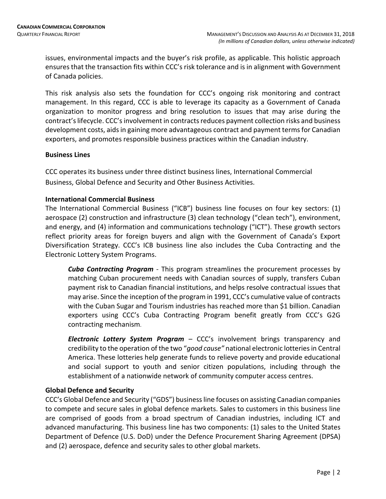issues, environmental impacts and the buyer's risk profile, as applicable. This holistic approach ensures that the transaction fits within CCC's risk tolerance and is in alignment with Government of Canada policies.

This risk analysis also sets the foundation for CCC's ongoing risk monitoring and contract management. In this regard, CCC is able to leverage its capacity as a Government of Canada organization to monitor progress and bring resolution to issues that may arise during the contract's lifecycle. CCC's involvement in contractsreduces payment collection risks and business development costs, aids in gaining more advantageous contract and payment terms for Canadian exporters, and promotes responsible business practices within the Canadian industry.

### **Business Lines**

CCC operates its business under three distinct business lines, International Commercial Business, Global Defence and Security and Other Business Activities.

### **International Commercial Business**

The International Commercial Business ("ICB") business line focuses on four key sectors: (1) aerospace (2) construction and infrastructure (3) clean technology ("clean tech"), environment, and energy, and (4) information and communications technology ("ICT"). These growth sectors reflect priority areas for foreign buyers and align with the Government of Canada's Export Diversification Strategy. CCC's ICB business line also includes the Cuba Contracting and the Electronic Lottery System Programs.

*Cuba Contracting Program* - This program streamlines the procurement processes by matching Cuban procurement needs with Canadian sources of supply, transfers Cuban payment risk to Canadian financial institutions, and helps resolve contractual issues that may arise. Since the inception of the program in 1991, CCC's cumulative value of contracts with the Cuban Sugar and Tourism industries has reached more than \$1 billion. Canadian exporters using CCC's Cuba Contracting Program benefit greatly from CCC's G2G contracting mechanism.

*Electronic Lottery System Program* – CCC's involvement brings transparency and credibility to the operation of the two "*good cause"* national electronic lotteries in Central America. These lotteries help generate funds to relieve poverty and provide educational and social support to youth and senior citizen populations, including through the establishment of a nationwide network of community computer access centres.

### **Global Defence and Security**

CCC's Global Defence and Security ("GDS") business line focuses on assisting Canadian companies to compete and secure sales in global defence markets. Sales to customers in this business line are comprised of goods from a broad spectrum of Canadian industries, including ICT and advanced manufacturing. This business line has two components: (1) sales to the United States Department of Defence (U.S. DoD) under the Defence Procurement Sharing Agreement (DPSA) and (2) aerospace, defence and security sales to other global markets.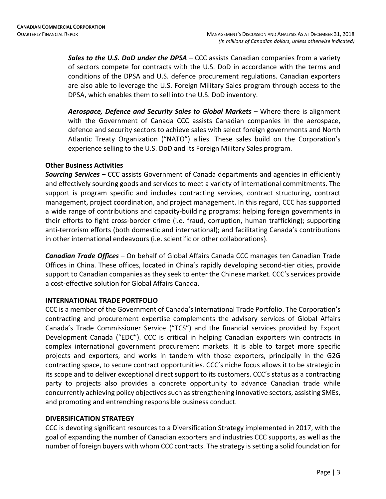*Sales to the U.S. DoD under the DPSA* – CCC assists Canadian companies from a variety of sectors compete for contracts with the U.S. DoD in accordance with the terms and conditions of the DPSA and U.S. defence procurement regulations. Canadian exporters are also able to leverage the U.S. Foreign Military Sales program through access to the DPSA, which enables them to sell into the U.S. DoD inventory.

*Aerospace, Defence and Security Sales to Global Markets* – Where there is alignment with the Government of Canada CCC assists Canadian companies in the aerospace, defence and security sectors to achieve sales with select foreign governments and North Atlantic Treaty Organization ("NATO") allies. These sales build on the Corporation's experience selling to the U.S. DoD and its Foreign Military Sales program.

### **Other Business Activities**

*Sourcing Services –* CCC assists Government of Canada departments and agencies in efficiently and effectively sourcing goods and services to meet a variety of international commitments. The support is program specific and includes contracting services, contract structuring, contract management, project coordination, and project management. In this regard, CCC has supported a wide range of contributions and capacity-building programs: helping foreign governments in their efforts to fight cross-border crime (i.e. fraud, corruption, human trafficking); supporting anti-terrorism efforts (both domestic and international); and facilitating Canada's contributions in other international endeavours (i.e. scientific or other collaborations).

*Canadian Trade Offices –* On behalf of Global Affairs Canada CCC manages ten Canadian Trade Offices in China. These offices, located in China's rapidly developing second-tier cities, provide support to Canadian companies as they seek to enter the Chinese market. CCC's services provide a cost-effective solution for Global Affairs Canada.

### **INTERNATIONAL TRADE PORTFOLIO**

CCC is a member of the Government of Canada's International Trade Portfolio. The Corporation's contracting and procurement expertise complements the advisory services of Global Affairs Canada's Trade Commissioner Service ("TCS") and the financial services provided by Export Development Canada ("EDC"). CCC is critical in helping Canadian exporters win contracts in complex international government procurement markets. It is able to target more specific projects and exporters, and works in tandem with those exporters, principally in the G2G contracting space, to secure contract opportunities. CCC's niche focus allows it to be strategic in its scope and to deliver exceptional direct support to its customers. CCC's status as a contracting party to projects also provides a concrete opportunity to advance Canadian trade while concurrently achieving policy objectives such as strengthening innovative sectors, assisting SMEs, and promoting and entrenching responsible business conduct.

### **DIVERSIFICATION STRATEGY**

CCC is devoting significant resources to a Diversification Strategy implemented in 2017, with the goal of expanding the number of Canadian exporters and industries CCC supports, as well as the number of foreign buyers with whom CCC contracts. The strategy is setting a solid foundation for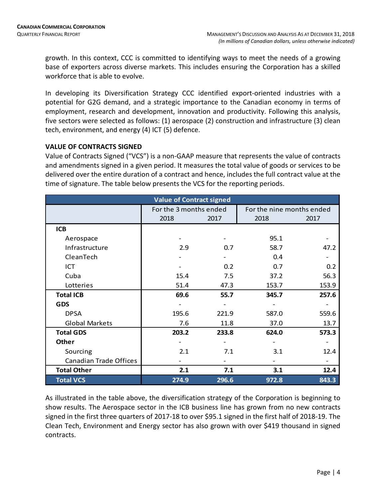growth. In this context, CCC is committed to identifying ways to meet the needs of a growing base of exporters across diverse markets. This includes ensuring the Corporation has a skilled workforce that is able to evolve.

In developing its Diversification Strategy CCC identified export-oriented industries with a potential for G2G demand, and a strategic importance to the Canadian economy in terms of employment, research and development, innovation and productivity. Following this analysis, five sectors were selected as follows: (1) aerospace (2) construction and infrastructure (3) clean tech, environment, and energy (4) ICT (5) defence.

### **VALUE OF CONTRACTS SIGNED**

Value of Contracts Signed ("VCS") is a non-GAAP measure that represents the value of contracts and amendments signed in a given period. It measures the total value of goods or services to be delivered over the entire duration of a contract and hence, includes the full contract value at the time of signature. The table below presents the VCS for the reporting periods.

|                               | <b>Value of Contract signed</b> |       |       |                           |
|-------------------------------|---------------------------------|-------|-------|---------------------------|
|                               | For the 3 months ended          |       |       | For the nine months ended |
|                               | 2018                            | 2017  | 2018  | 2017                      |
| <b>ICB</b>                    |                                 |       |       |                           |
| Aerospace                     |                                 |       | 95.1  |                           |
| Infrastructure                | 2.9                             | 0.7   | 58.7  | 47.2                      |
| CleanTech                     |                                 |       | 0.4   |                           |
| ICT                           |                                 | 0.2   | 0.7   | 0.2                       |
| Cuba                          | 15.4                            | 7.5   | 37.2  | 56.3                      |
| Lotteries                     | 51.4                            | 47.3  | 153.7 | 153.9                     |
| <b>Total ICB</b>              | 69.6                            | 55.7  | 345.7 | 257.6                     |
| <b>GDS</b>                    |                                 |       |       |                           |
| <b>DPSA</b>                   | 195.6                           | 221.9 | 587.0 | 559.6                     |
| <b>Global Markets</b>         | 7.6                             | 11.8  | 37.0  | 13.7                      |
| <b>Total GDS</b>              | 203.2                           | 233.8 | 624.0 | 573.3                     |
| <b>Other</b>                  |                                 |       |       |                           |
| Sourcing                      | 2.1                             | 7.1   | 3.1   | 12.4                      |
| <b>Canadian Trade Offices</b> |                                 |       |       |                           |
| <b>Total Other</b>            | 2.1                             | 7.1   | 3.1   | 12.4                      |
| <b>Total VCS</b>              | 274.9                           | 296.6 | 972.8 | 843.3                     |

As illustrated in the table above, the diversification strategy of the Corporation is beginning to show results. The Aerospace sector in the ICB business line has grown from no new contracts signed in the first three quarters of 2017-18 to over \$95.1 signed in the first half of 2018-19. The Clean Tech, Environment and Energy sector has also grown with over \$419 thousand in signed contracts.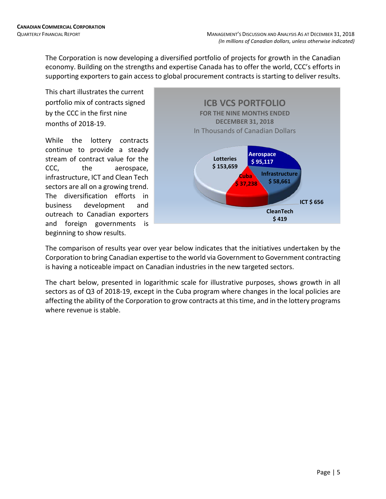The Corporation is now developing a diversified portfolio of projects for growth in the Canadian economy. Building on the strengths and expertise Canada has to offer the world, CCC's efforts in supporting exporters to gain access to global procurement contracts is starting to deliver results.

This chart illustrates the current portfolio mix of contracts signed by the CCC in the first nine months of 2018-19.

While the lottery contracts continue to provide a steady stream of contract value for the CCC, the aerospace, infrastructure, ICT and Clean Tech sectors are all on a growing trend. The diversification efforts in business development and outreach to Canadian exporters and foreign governments is beginning to show results.



The comparison of results year over year below indicates that the initiatives undertaken by the Corporation to bring Canadian expertise to the world via Government to Government contracting is having a noticeable impact on Canadian industries in the new targeted sectors.

The chart below, presented in logarithmic scale for illustrative purposes, shows growth in all sectors as of Q3 of 2018-19, except in the Cuba program where changes in the local policies are affecting the ability of the Corporation to grow contracts at this time, and in the lottery programs where revenue is stable.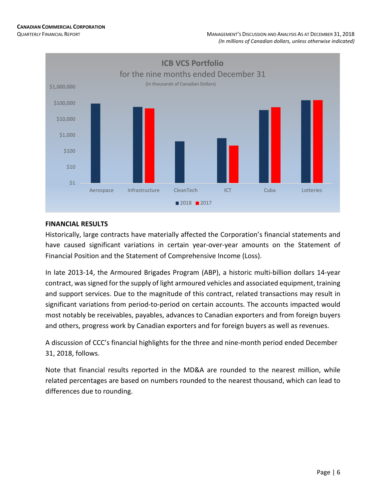

### **FINANCIAL RESULTS**

Historically, large contracts have materially affected the Corporation's financial statements and have caused significant variations in certain year-over-year amounts on the Statement of Financial Position and the Statement of Comprehensive Income (Loss).

In late 2013-14, the Armoured Brigades Program (ABP), a historic multi-billion dollars 14-year contract, was signed for the supply of light armoured vehicles and associated equipment, training and support services. Due to the magnitude of this contract, related transactions may result in significant variations from period-to-period on certain accounts. The accounts impacted would most notably be receivables, payables, advances to Canadian exporters and from foreign buyers and others, progress work by Canadian exporters and for foreign buyers as well as revenues.

A discussion of CCC's financial highlights for the three and nine-month period ended December 31, 2018, follows.

Note that financial results reported in the MD&A are rounded to the nearest million, while related percentages are based on numbers rounded to the nearest thousand, which can lead to differences due to rounding.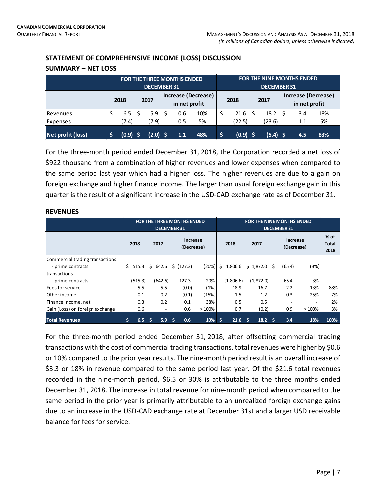**SUMMARY – NET LOSS**

### **STATEMENT OF COMPREHENSIVE INCOME (LOSS) DISCUSSION**

|                   |       |    | <b>DECEMBER 31</b> |      | <b>FOR THE THREE MONTHS ENDED</b>    |     |     |          |     | <b>DECEMBER 31</b> | <b>FOR THE NINE MONTHS ENDED</b>     |     |
|-------------------|-------|----|--------------------|------|--------------------------------------|-----|-----|----------|-----|--------------------|--------------------------------------|-----|
|                   | 2018  |    | 2017               |      | Increase (Decrease)<br>in net profit |     |     | 2018     |     | 2017               | Increase (Decrease)<br>in net profit |     |
| Revenues          | 6.5   | -S | 5.9                | - \$ | 0.6                                  | 10% | \$  | 21.6     | - S | 18.2 <sup>5</sup>  | 3.4                                  | 18% |
| Expenses          | (7.4) |    | 7.9)               |      | 0.5                                  | 5%  |     | (22.5)   |     | (23.6)             | 1.1                                  | 5%  |
| Net profit (loss) | (0.9) |    | $(2.0)$ \$         |      | 1.1                                  | 48% | '\$ | (0.9) \$ |     | $(5.4)$ \$         | 4.5                                  | 83% |

For the three-month period ended December 31, 2018, the Corporation recorded a net loss of \$922 thousand from a combination of higher revenues and lower expenses when compared to the same period last year which had a higher loss. The higher revenues are due to a gain on foreign exchange and higher finance income. The larger than usual foreign exchange gain in this quarter is the result of a significant increase in the USD-CAD exchange rate as of December 31.

### **REVENUES**

|                                 |             |                          | <b>FOR THE THREE MONTHS ENDED</b><br><b>DECEMBER 31</b> |       |               | <b>FOR THE NINE MONTHS ENDED</b> | <b>DECEMBER 31</b> |                          |                         |
|---------------------------------|-------------|--------------------------|---------------------------------------------------------|-------|---------------|----------------------------------|--------------------|--------------------------|-------------------------|
|                                 | 2018        | 2017                     | Increase<br>(Decrease)                                  |       | 2018          | 2017                             |                    | Increase<br>(Decrease)   | $%$ of<br>Total<br>2018 |
| Commercial trading transactions |             |                          |                                                         |       |               |                                  |                    |                          |                         |
| - prime contracts               | Ś.<br>515.3 | Ŝ.<br>642.6              | \$ (127.3)                                              | (20%) | Ŝ.<br>1,806.6 | \$1,872.0                        | (65.4)<br>Ŝ.       | (3%)                     |                         |
| transactions                    |             |                          |                                                         |       |               |                                  |                    |                          |                         |
| - prime contracts               | (515.3)     | (642.6)                  | 127.3                                                   | 20%   | (1,806.6)     | (1,872.0)                        | 65.4               | 3%                       |                         |
| Fees for service                | 5.5         | 5.5                      | (0.0)                                                   | (1%)  | 18.9          | 16.7                             | 2.2                | 13%                      | 88%                     |
| Other income                    | 0.1         | 0.2                      | (0.1)                                                   | (15%) | 1.5           | 1.2                              | 0.3                | 25%                      | 7%                      |
| Finance income, net             | 0.3         | 0.2                      | 0.1                                                     | 38%   | 0.5           | 0.5                              |                    | $\overline{\phantom{a}}$ | 2%                      |
| Gain (Loss) on foreign exchange | 0.6         | $\overline{\phantom{a}}$ | 0.6                                                     | >100% | 0.7           | (0.2)                            | 0.9                | >100%                    | 3%                      |
| <b>Total Revenues</b>           | \$<br>6.5   | Ŝ<br>5.9                 | 0.6<br>Ŝ                                                | 10%   | Ś<br>21.6     | Ŝ<br>18.2                        | 3.4<br>- S         | 18%                      | 100%                    |

For the three-month period ended December 31, 2018, after offsetting commercial trading transactions with the cost of commercial trading transactions, total revenues were higher by \$0.6 or 10% compared to the prior year results. The nine-month period result is an overall increase of \$3.3 or 18% in revenue compared to the same period last year. Of the \$21.6 total revenues recorded in the nine-month period, \$6.5 or 30% is attributable to the three months ended December 31, 2018. The increase in total revenue for nine-month period when compared to the same period in the prior year is primarily attributable to an unrealized foreign exchange gains due to an increase in the USD-CAD exchange rate at December 31st and a larger USD receivable balance for fees for service.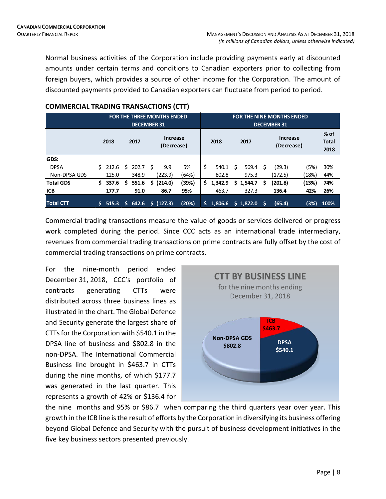Normal business activities of the Corporation include providing payments early at discounted amounts under certain terms and conditions to Canadian exporters prior to collecting from foreign buyers, which provides a source of other income for the Corporation. The amount of discounted payments provided to Canadian exporters can fluctuate from period to period.

|                  |    |       |     | <b>DECEMBER 31</b> |    | <b>FOR THE THREE MONTHS ENDED</b> |       |    |         |   |             |   | <b>FOR THE NINE MONTHS ENDED</b><br><b>DECEMBER 31</b> |       |                                |
|------------------|----|-------|-----|--------------------|----|-----------------------------------|-------|----|---------|---|-------------|---|--------------------------------------------------------|-------|--------------------------------|
|                  |    | 2018  |     | 2017               |    | <b>Increase</b><br>(Decrease)     |       |    | 2018    |   | 2017        |   | <b>Increase</b><br>(Decrease)                          |       | $%$ of<br><b>Total</b><br>2018 |
| GDS:             |    |       |     |                    |    |                                   |       |    |         |   |             |   |                                                        |       |                                |
| <b>DPSA</b>      | S. | 212.6 | Ŝ.  | 202.7              | S. | 9.9                               | 5%    | \$ | 540.1   | Ś | 569.4       | S | (29.3)                                                 | (5%)  | 30%                            |
| Non-DPSA GDS     |    | 125.0 |     | 348.9              |    | (223.9)                           | (64%) |    | 802.8   |   | 975.3       |   | (172.5)                                                | (18%) | 44%                            |
| <b>Total GDS</b> | Ś. | 337.6 | \$. | 551.6              | \$ | (214.0)                           | (39%) | \$ | 1,342.9 |   | \$1,544.7   | S | 201.8)                                                 | (13%) | 74%                            |
| <b>ICB</b>       |    | 177.7 |     | 91.0               |    | 86.7                              | 95%   |    | 463.7   |   | 327.3       |   | 136.4                                                  | 42%   | 26%                            |
| <b>Total CTT</b> |    | 515.3 | S.  | 642.6              |    | $\sin(127.3)$                     | (20%) | Ś  | 1.806.6 |   | $5$ 1.872.0 | S | (65.4)                                                 | (3%)  | 100%                           |

### **COMMERCIAL TRADING TRANSACTIONS (CTT)**

Commercial trading transactions measure the value of goods or services delivered or progress work completed during the period. Since CCC acts as an international trade intermediary, revenues from commercial trading transactions on prime contracts are fully offset by the cost of commercial trading transactions on prime contracts.

For the nine-month period ended December 31, 2018, CCC's portfolio of contracts generating CTTs were distributed across three business lines as illustrated in the chart. The Global Defence and Security generate the largest share of CTTs for the Corporation with \$540.1 in the DPSA line of business and \$802.8 in the non-DPSA. The International Commercial Business line brought in \$463.7 in CTTs during the nine months, of which \$177.7 was generated in the last quarter. This represents a growth of 42% or \$136.4 for



the nine months and 95% or \$86.7 when comparing the third quarters year over year. This growth in the ICB line is the result of efforts by the Corporation in diversifying its business offering beyond Global Defence and Security with the pursuit of business development initiatives in the five key business sectors presented previously.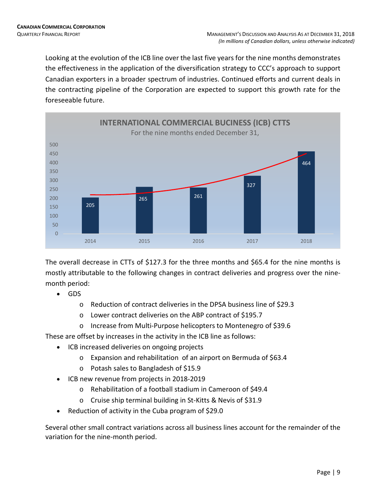Looking at the evolution of the ICB line over the last five years for the nine months demonstrates the effectiveness in the application of the diversification strategy to CCC's approach to support Canadian exporters in a broader spectrum of industries. Continued efforts and current deals in the contracting pipeline of the Corporation are expected to support this growth rate for the foreseeable future.



The overall decrease in CTTs of \$127.3 for the three months and \$65.4 for the nine months is mostly attributable to the following changes in contract deliveries and progress over the ninemonth period:

- GDS
	- o Reduction of contract deliveries in the DPSA business line of \$29.3
	- o Lower contract deliveries on the ABP contract of \$195.7
	- o Increase from Multi-Purpose helicopters to Montenegro of \$39.6

These are offset by increases in the activity in the ICB line as follows:

- ICB increased deliveries on ongoing projects
	- o Expansion and rehabilitation of an airport on Bermuda of \$63.4
	- o Potash sales to Bangladesh of \$15.9
- ICB new revenue from projects in 2018-2019
	- o Rehabilitation of a football stadium in Cameroon of \$49.4
	- o Cruise ship terminal building in St-Kitts & Nevis of \$31.9
- Reduction of activity in the Cuba program of \$29.0

Several other small contract variations across all business lines account for the remainder of the variation for the nine-month period.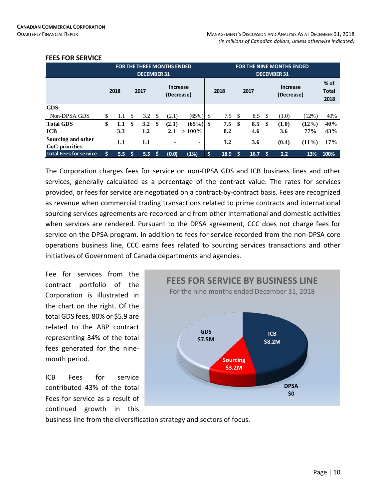|                                                        |    |                   |      | <b>DECEMBER 31</b> |    | <b>FOR THE THREE MONTHS ENDED</b> |                        |     |                   |     |                   |     | <b>FOR THE NINE MONTHS ENDED</b><br><b>DECEMBER 31</b> |                             |                                |
|--------------------------------------------------------|----|-------------------|------|--------------------|----|-----------------------------------|------------------------|-----|-------------------|-----|-------------------|-----|--------------------------------------------------------|-----------------------------|--------------------------------|
|                                                        |    | 2018              |      | 2017               |    | Increase<br>(Decrease)            |                        |     | 2018              |     | 2017              |     | Increase<br>(Decrease)                                 |                             | $%$ of<br><b>Total</b><br>2018 |
| GDS:                                                   |    |                   |      |                    |    |                                   |                        |     |                   |     |                   |     |                                                        |                             |                                |
| Non-DPSA GDS                                           | \$ | 1.1               | -\$  | 3.2                | \$ | (2.1)                             | $(65\%)$               | -S  | 7.5               | -\$ | 8.5               | -\$ | (1.0)                                                  | (12%)                       | 40%                            |
| <b>Total GDS</b><br><b>ICB</b><br>Sourcing and other   | \$ | 1.1<br>3.3<br>1.1 | \$   | 3.2<br>1.2<br>1.1  | \$ | (2.1)<br>2.1<br>٠                 | (65%)<br>$>100\%$<br>۰ | -\$ | 7.5<br>8.2<br>3.2 | \$  | 8.5<br>4.6<br>3.6 | -\$ | (1.0)<br>3.6<br>(0.4)                                  | $(12\%)$<br>77%<br>$(11\%)$ | 40%<br>43%<br>17%              |
| <b>GoC</b> priorities<br><b>Total Fees for service</b> | Ś  | 5.5 <sub>1</sub>  | - \$ | 5.5 <sub>1</sub>   | .s | (0.0)                             | (1%)                   | Ś   | 18.9              | S   | 16.7              | S   | 2.2                                                    | 13%                         | 100%                           |

#### **FEES FOR SERVICE**

The Corporation charges fees for service on non-DPSA GDS and ICB business lines and other services, generally calculated as a percentage of the contract value. The rates for services provided, or fees for service are negotiated on a contract-by-contract basis. Fees are recognized as revenue when commercial trading transactions related to prime contracts and international sourcing services agreements are recorded and from other international and domestic activities when services are rendered. Pursuant to the DPSA agreement, CCC does not charge fees for service on the DPSA program. In addition to fees for service recorded from the non-DPSA core operations business line, CCC earns fees related to sourcing services transactions and other initiatives of Government of Canada departments and agencies.

Fee for services from the contract portfolio of the Corporation is illustrated in the chart on the right. Of the total GDS fees, 80% or \$5.9 are related to the ABP contract representing 34% of the total fees generated for the ninemonth period.

ICB Fees for service contributed 43% of the total Fees for service as a result of continued growth in this



business line from the diversification strategy and sectors of focus.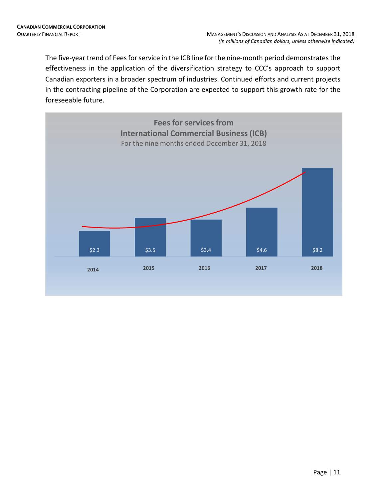The five-year trend of Fees for service in the ICB line for the nine-month period demonstrates the effectiveness in the application of the diversification strategy to CCC's approach to support Canadian exporters in a broader spectrum of industries. Continued efforts and current projects in the contracting pipeline of the Corporation are expected to support this growth rate for the foreseeable future.

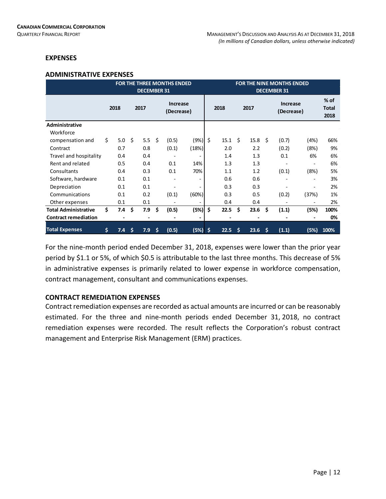### **EXPENSES**

#### **ADMINISTRATIVE EXPENSES**

|                             |    |      |      | <b>DECEMBER 31</b> |     | <b>FOR THE THREE MONTHS ENDED</b> |                          |    |      |    |                 |     | <b>FOR THE NINE MONTHS ENDED</b><br><b>DECEMBER 31</b> |                          |                                |
|-----------------------------|----|------|------|--------------------|-----|-----------------------------------|--------------------------|----|------|----|-----------------|-----|--------------------------------------------------------|--------------------------|--------------------------------|
|                             |    | 2018 |      | 2017               |     | Increase<br>(Decrease)            |                          |    | 2018 |    | 2017            |     | <b>Increase</b><br>(Decrease)                          |                          | $%$ of<br><b>Total</b><br>2018 |
| Administrative              |    |      |      |                    |     |                                   |                          |    |      |    |                 |     |                                                        |                          |                                |
| Workforce                   |    |      |      |                    |     |                                   |                          |    |      |    |                 |     |                                                        |                          |                                |
| compensation and            | \$ | 5.0  | - \$ | 5.5                | Ŝ.  | (0.5)                             | (9%)                     | \$ | 15.1 | Ŝ. | $15.8 \quad$ \$ |     | (0.7)                                                  | (4%)                     | 66%                            |
| Contract                    |    | 0.7  |      | 0.8                |     | (0.1)                             | (18%)                    |    | 2.0  |    | 2.2             |     | (0.2)                                                  | (8%)                     | 9%                             |
| Travel and hospitality      |    | 0.4  |      | 0.4                |     |                                   |                          |    | 1.4  |    | 1.3             |     | 0.1                                                    | 6%                       | 6%                             |
| Rent and related            |    | 0.5  |      | 0.4                |     | 0.1                               | 14%                      |    | 1.3  |    | 1.3             |     |                                                        |                          | 6%                             |
| Consultants                 |    | 0.4  |      | 0.3                |     | 0.1                               | 70%                      |    | 1.1  |    | 1.2             |     | (0.1)                                                  | (8%)                     | 5%                             |
| Software, hardware          |    | 0.1  |      | 0.1                |     |                                   | $\overline{\phantom{0}}$ |    | 0.6  |    | 0.6             |     |                                                        | $\overline{\phantom{a}}$ | 3%                             |
| Depreciation                |    | 0.1  |      | 0.1                |     |                                   |                          |    | 0.3  |    | 0.3             |     |                                                        |                          | 2%                             |
| Communications              |    | 0.1  |      | 0.2                |     | (0.1)                             | (60%)                    |    | 0.3  |    | 0.5             |     | (0.2)                                                  | (37%)                    | 1%                             |
| Other expenses              |    | 0.1  |      | 0.1                |     |                                   |                          |    | 0.4  |    | 0.4             |     |                                                        | $\overline{\phantom{a}}$ | 2%                             |
| <b>Total Administrative</b> | Ś. | 7.4  | \$   | 7.9                | \$. | (0.5)                             | (5%)                     | \$ | 22.5 | \$ | 23.6            | \$. | (1.1)                                                  | (5%)                     | 100%                           |
| <b>Contract remediation</b> |    |      |      |                    |     |                                   |                          |    |      |    |                 |     |                                                        |                          | 0%                             |
| <b>Total Expenses</b>       | \$ | 7.4  | -\$  | 7.9                | Š.  | (0.5)                             | (5%)                     | Ŝ. | 22.5 | Ŝ  | 23.6            | -\$ | (1.1)                                                  | (5%)                     | 100%                           |

For the nine-month period ended December 31, 2018, expenses were lower than the prior year period by \$1.1 or 5%, of which \$0.5 is attributable to the last three months. This decrease of 5% in administrative expenses is primarily related to lower expense in workforce compensation, contract management, consultant and communications expenses.

### **CONTRACT REMEDIATION EXPENSES**

Contract remediation expenses are recorded as actual amounts are incurred or can be reasonably estimated. For the three and nine-month periods ended December 31, 2018, no contract remediation expenses were recorded. The result reflects the Corporation's robust contract management and Enterprise Risk Management (ERM) practices.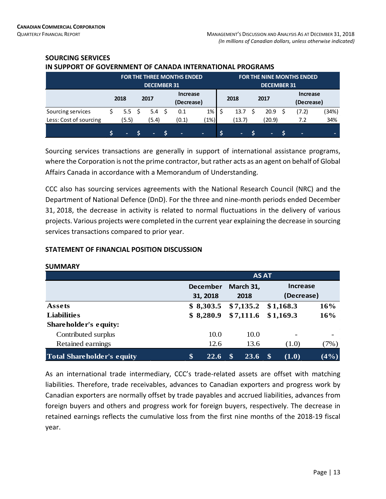|                        |   |                  | <b>DECEMBER 31</b> |   | <b>FOR THE THREE MONTHS ENDED</b> |      |   |        | <b>DECEMBER 31</b> | <b>FOR THE NINE MONTHS ENDED</b> |            |
|------------------------|---|------------------|--------------------|---|-----------------------------------|------|---|--------|--------------------|----------------------------------|------------|
|                        |   | 2018             | 2017               |   | <b>Increase</b><br>(Decrease)     |      |   | 2018   | 2017               | <b>Increase</b><br>(Decrease)    |            |
| Sourcing services      |   | 5.5 <sup>5</sup> | 5.4                |   | 0.1                               | 1%   |   | 13.7   | 20.9               | (7.2)                            | (34%)      |
| Less: Cost of sourcing |   | (5.5)            | (5.4)              |   | (0.1)                             | (1%) |   | (13.7) | (20.9)             | 7.2                              | 34%        |
|                        | Ś | $\sim$           | $\sim$             | Ś | $\sim$                            | ۰.   | Ś | $\sim$ | ۰.                 | ٠                                | <b>COL</b> |

### **SOURCING SERVICES IN SUPPORT OF GOVERNMENT OF CANADA INTERNATIONAL PROGRAMS**

Sourcing services transactions are generally in support of international assistance programs, where the Corporation is not the prime contractor, but rather acts as an agent on behalf of Global Affairs Canada in accordance with a Memorandum of Understanding.

CCC also has sourcing services agreements with the National Research Council (NRC) and the Department of National Defence (DnD). For the three and nine-month periods ended December 31, 2018, the decrease in activity is related to normal fluctuations in the delivery of various projects. Various projects were completed in the current year explaining the decrease in sourcing services transactions compared to prior year.

### **STATEMENT OF FINANCIAL POSITION DISCUSSION**

|                                   |                             | <b>AS AT</b>      |                               |         |
|-----------------------------------|-----------------------------|-------------------|-------------------------------|---------|
|                                   | <b>December</b><br>31, 2018 | March 31,<br>2018 | <b>Increase</b><br>(Decrease) |         |
| Assets                            | \$8,303.5                   | \$7,135.2         | \$1,168.3                     | 16%     |
| <b>Liabilities</b>                | \$8,280.9                   | \$7,111.6         | \$1,169.3                     | 16%     |
| Shareholder's equity:             |                             |                   |                               |         |
| Contributed surplus               | 10.0                        | 10.0              | $\overline{\phantom{0}}$      |         |
| Retained earnings                 | 12.6                        | 13.6              | (1.0)                         | (7%)    |
| <b>Total Shareholder's equity</b> | \$<br><b>22.6</b>           | 23.6              | \$<br>(1.0)                   | $(4\%)$ |

### **SUMMARY**

As an international trade intermediary, CCC's trade-related assets are offset with matching liabilities. Therefore, trade receivables, advances to Canadian exporters and progress work by Canadian exporters are normally offset by trade payables and accrued liabilities, advances from foreign buyers and others and progress work for foreign buyers, respectively. The decrease in retained earnings reflects the cumulative loss from the first nine months of the 2018-19 fiscal year.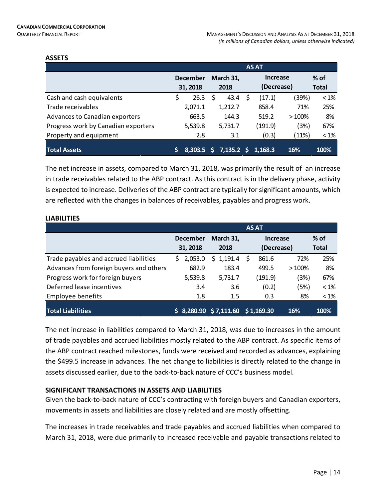### **ASSETS**

|                                       |   |                 |    |              | <b>AS AT</b> |       |              |
|---------------------------------------|---|-----------------|----|--------------|--------------|-------|--------------|
|                                       |   | <b>December</b> |    | March 31,    | Increase     |       | $%$ of       |
|                                       |   | 31, 2018        |    | 2018         | (Decrease)   |       | <b>Total</b> |
| Cash and cash equivalents             | S | 26.3            | S  | 43.4         | (17.1)       | (39%) | $<1\%$       |
| Trade receivables                     |   | 2,071.1         |    | 1,212.7      | 858.4        | 71%   | 25%          |
| <b>Advances to Canadian exporters</b> |   | 663.5           |    | 144.3        | 519.2        | >100% | 8%           |
| Progress work by Canadian exporters   |   | 5,539.8         |    | 5,731.7      | (191.9)      | (3%)  | 67%          |
| Property and equipment                |   | 2.8             |    | 3.1          | (0.3)        | (11%) | $< 1\%$      |
| <b>Total Assets</b>                   |   | 8.303.5         | S. | $7,135.2$ \$ | 1,168.3      | 16%   | 100%         |

The net increase in assets, compared to March 31, 2018, was primarily the result of an increase in trade receivables related to the ABP contract. As this contract is in the delivery phase, activity is expected to increase. Deliveries of the ABP contract are typically for significant amounts, which are reflected with the changes in balances of receivables, payables and progress work.

|                                         |                 |                     | <b>AS AT</b> |       |              |
|-----------------------------------------|-----------------|---------------------|--------------|-------|--------------|
|                                         | <b>December</b> | March 31,           | Increase     |       | $%$ of       |
|                                         | 31, 2018        | 2018                | (Decrease)   |       | <b>Total</b> |
| Trade payables and accrued liabilities  | 2,053.0<br>S.   | \$1,191.4           | 861.6<br>S   | 72%   | 25%          |
| Advances from foreign buyers and others | 682.9           | 183.4               | 499.5        | >100% | 8%           |
| Progress work for foreign buyers        | 5,539.8         | 5,731.7             | (191.9)      | (3%)  | 67%          |
| Deferred lease incentives               | 3.4             | 3.6                 | (0.2)        | (5%)  | $< 1\%$      |
| <b>Employee benefits</b>                | 1.8             | 1.5                 | 0.3          | 8%    | $< 1\%$      |
| <b>Total Liabilities</b>                | S.              | 8,280.90 \$7,111.60 | \$1,169.30   | 16%   | 100%         |

### **LIABILITIES**

The net increase in liabilities compared to March 31, 2018, was due to increases in the amount of trade payables and accrued liabilities mostly related to the ABP contract. As specific items of the ABP contract reached milestones, funds were received and recorded as advances, explaining the \$499.5 increase in advances. The net change to liabilities is directly related to the change in assets discussed earlier, due to the back-to-back nature of CCC's business model.

### **SIGNIFICANT TRANSACTIONS IN ASSETS AND LIABILITIES**

Given the back-to-back nature of CCC's contracting with foreign buyers and Canadian exporters, movements in assets and liabilities are closely related and are mostly offsetting.

The increases in trade receivables and trade payables and accrued liabilities when compared to March 31, 2018, were due primarily to increased receivable and payable transactions related to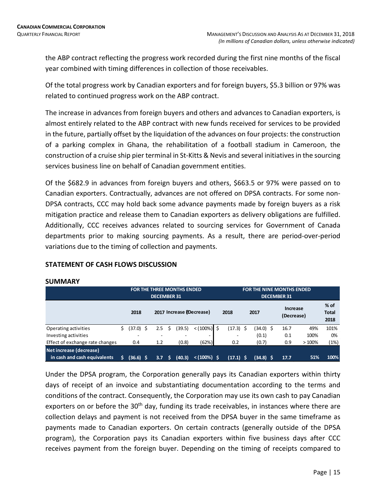the ABP contract reflecting the progress work recorded during the first nine months of the fiscal year combined with timing differences in collection of those receivables.

Of the total progress work by Canadian exporters and for foreign buyers, \$5.3 billion or 97% was related to continued progress work on the ABP contract.

The increase in advances from foreign buyers and others and advances to Canadian exporters, is almost entirely related to the ABP contract with new funds received for services to be provided in the future, partially offset by the liquidation of the advances on four projects: the construction of a parking complex in Ghana, the rehabilitation of a football stadium in Cameroon, the construction of a cruise ship pier terminal in St-Kitts & Nevis and several initiatives in the sourcing services business line on behalf of Canadian government entities.

Of the \$682.9 in advances from foreign buyers and others, \$663.5 or 97% were passed on to Canadian exporters. Contractually, advances are not offered on DPSA contracts. For some non-DPSA contracts, CCC may hold back some advance payments made by foreign buyers as a risk mitigation practice and release them to Canadian exporters as delivery obligations are fulfilled. Additionally, CCC receives advances related to sourcing services for Government of Canada departments prior to making sourcing payments. As a result, there are period-over-period variations due to the timing of collection and payments.

|                                                         |    |           |    | <b>DECEMBER 31</b> |    | <b>FOR THE THREE MONTHS ENDED</b> |                          |                          |             |   | <b>FOR THE NINE MONTHS ENDED</b><br><b>DECEMBER 31</b> |       |                                |
|---------------------------------------------------------|----|-----------|----|--------------------|----|-----------------------------------|--------------------------|--------------------------|-------------|---|--------------------------------------------------------|-------|--------------------------------|
|                                                         |    | 2018      |    |                    |    |                                   | 2017 Increase (Decrease) | 2018                     | 2017        |   | Increase<br>(Decrease)                                 |       | $%$ of<br><b>Total</b><br>2018 |
| Operating activities                                    | \$ | (37.0)    | Ŝ. | 2.5                | Ŝ. | (39.5)                            | $< (100\%)$ \$           | (17.3) \$                | (34.0)      | Ŝ | 16.7                                                   | 49%   | 101%                           |
| Investing activities                                    |    |           |    | -                  |    |                                   |                          | $\overline{\phantom{a}}$ | (0.1)       |   | 0.1                                                    | 100%  | 0%                             |
| Effect of exchange rate changes                         |    | 0.4       |    | 1.2                |    | (0.8)                             | (62%)                    | 0.2                      | (0.7)       |   | 0.9                                                    | >100% | (1%)                           |
| Net increase (decrease)<br>in cash and cash equivalents | ς  | (36.6) \$ |    | 3.7                | S  | (40.3)                            | $< (100%)$ \$            | $(17.1)$ \$              | $(34.8)$ \$ |   | 17.7                                                   | 51%   | 100%                           |

### **STATEMENT OF CASH FLOWS DISCUSSION**

Under the DPSA program, the Corporation generally pays its Canadian exporters within thirty days of receipt of an invoice and substantiating documentation according to the terms and conditions of the contract. Consequently, the Corporation may use its own cash to pay Canadian exporters on or before the 30<sup>th</sup> day, funding its trade receivables, in instances where there are collection delays and payment is not received from the DPSA buyer in the same timeframe as payments made to Canadian exporters. On certain contracts (generally outside of the DPSA program), the Corporation pays its Canadian exporters within five business days after CCC receives payment from the foreign buyer. Depending on the timing of receipts compared to

### **SUMMARY**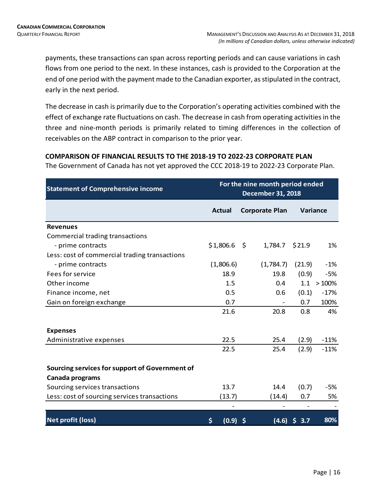payments, these transactions can span across reporting periods and can cause variations in cash flows from one period to the next. In these instances, cash is provided to the Corporation at the end of one period with the payment made to the Canadian exporter, as stipulated in the contract, early in the next period.

The decrease in cash is primarily due to the Corporation's operating activities combined with the effect of exchange rate fluctuations on cash. The decrease in cash from operating activities in the three and nine-month periods is primarily related to timing differences in the collection of receivables on the ABP contract in comparison to the prior year.

### **COMPARISON OF FINANCIAL RESULTS TO THE 2018-19 TO 2022-23 CORPORATE PLAN**

The Government of Canada has not yet approved the CCC 2018-19 to 2022-23 Corporate Plan.

| <b>Statement of Comprehensive income</b>       |                  |      | For the nine month period ended<br><b>December 31, 2018</b> |                                      |          |
|------------------------------------------------|------------------|------|-------------------------------------------------------------|--------------------------------------|----------|
|                                                | <b>Actual</b>    |      | <b>Corporate Plan</b>                                       |                                      | Variance |
| <b>Revenues</b>                                |                  |      |                                                             |                                      |          |
| Commercial trading transactions                |                  |      |                                                             |                                      |          |
| - prime contracts                              | \$1,806.6        | - \$ | 1,784.7                                                     | \$21.9                               | 1%       |
| Less: cost of commercial trading transactions  |                  |      |                                                             |                                      |          |
| - prime contracts                              | (1,806.6)        |      | (1,784.7)                                                   | (21.9)                               | $-1%$    |
| Fees for service                               | 18.9             |      | 19.8                                                        | (0.9)                                | $-5%$    |
| Other income                                   | 1.5              |      | 0.4                                                         | 1.1                                  | >100%    |
| Finance income, net                            | 0.5              |      | 0.6                                                         | (0.1)                                | $-17%$   |
| Gain on foreign exchange                       | 0.7              |      |                                                             | 0.7                                  | 100%     |
|                                                | 21.6             |      | 20.8                                                        | 0.8                                  | 4%       |
| <b>Expenses</b>                                |                  |      |                                                             |                                      |          |
| Administrative expenses                        | 22.5             |      | 25.4                                                        | (2.9)                                | $-11%$   |
|                                                | 22.5             |      | 25.4                                                        | (2.9)                                | $-11%$   |
| Sourcing services for support of Government of |                  |      |                                                             |                                      |          |
| Canada programs                                |                  |      |                                                             |                                      |          |
| Sourcing services transactions                 | 13.7             |      | 14.4                                                        | (0.7)                                | $-5%$    |
| Less: cost of sourcing services transactions   | (13.7)           |      | (14.4)                                                      | 0.7                                  | 5%       |
| <b>Net profit (loss)</b>                       | \$<br>$(0.9)$ \$ |      | $\overline{\phantom{0}}$<br>(4.6)                           | $\overline{\phantom{a}}$<br>S<br>3.7 | 80%      |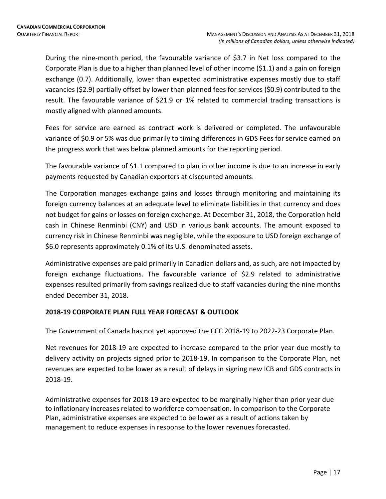During the nine-month period, the favourable variance of \$3.7 in Net loss compared to the Corporate Plan is due to a higher than planned level of other income (\$1.1) and a gain on foreign exchange (0.7). Additionally, lower than expected administrative expenses mostly due to staff vacancies (\$2.9) partially offset by lower than planned fees for services (\$0.9) contributed to the result. The favourable variance of \$21.9 or 1% related to commercial trading transactions is mostly aligned with planned amounts.

Fees for service are earned as contract work is delivered or completed. The unfavourable variance of \$0.9 or 5% was due primarily to timing differences in GDS Fees for service earned on the progress work that was below planned amounts for the reporting period.

The favourable variance of \$1.1 compared to plan in other income is due to an increase in early payments requested by Canadian exporters at discounted amounts.

The Corporation manages exchange gains and losses through monitoring and maintaining its foreign currency balances at an adequate level to eliminate liabilities in that currency and does not budget for gains or losses on foreign exchange. At December 31, 2018, the Corporation held cash in Chinese Renminbi (CNY) and USD in various bank accounts. The amount exposed to currency risk in Chinese Renminbi was negligible, while the exposure to USD foreign exchange of \$6.0 represents approximately 0.1% of its U.S. denominated assets.

Administrative expenses are paid primarily in Canadian dollars and, as such, are not impacted by foreign exchange fluctuations. The favourable variance of \$2.9 related to administrative expenses resulted primarily from savings realized due to staff vacancies during the nine months ended December 31, 2018.

### **2018-19 CORPORATE PLAN FULL YEAR FORECAST & OUTLOOK**

The Government of Canada has not yet approved the CCC 2018-19 to 2022-23 Corporate Plan.

Net revenues for 2018-19 are expected to increase compared to the prior year due mostly to delivery activity on projects signed prior to 2018-19. In comparison to the Corporate Plan, net revenues are expected to be lower as a result of delays in signing new ICB and GDS contracts in 2018-19.

Administrative expenses for 2018-19 are expected to be marginally higher than prior year due to inflationary increases related to workforce compensation. In comparison to the Corporate Plan, administrative expenses are expected to be lower as a result of actions taken by management to reduce expenses in response to the lower revenues forecasted.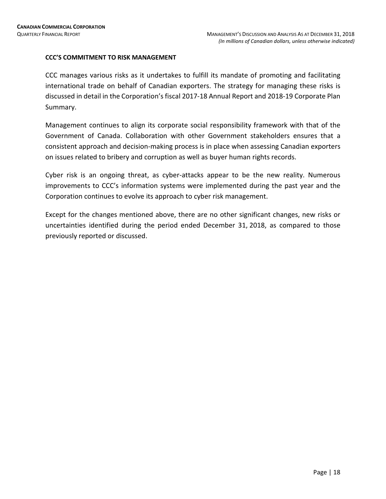### **CCC'S COMMITMENT TO RISK MANAGEMENT**

CCC manages various risks as it undertakes to fulfill its mandate of promoting and facilitating international trade on behalf of Canadian exporters. The strategy for managing these risks is discussed in detail in the Corporation's fiscal 2017-18 Annual Report and 2018-19 Corporate Plan Summary.

Management continues to align its corporate social responsibility framework with that of the Government of Canada. Collaboration with other Government stakeholders ensures that a consistent approach and decision-making process is in place when assessing Canadian exporters on issues related to bribery and corruption as well as buyer human rights records.

Cyber risk is an ongoing threat, as cyber-attacks appear to be the new reality. Numerous improvements to CCC's information systems were implemented during the past year and the Corporation continues to evolve its approach to cyber risk management.

Except for the changes mentioned above, there are no other significant changes, new risks or uncertainties identified during the period ended December 31, 2018, as compared to those previously reported or discussed.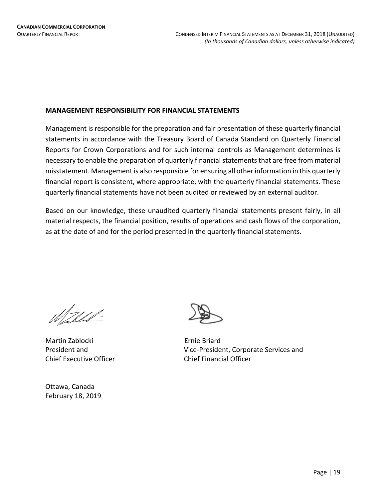### **MANAGEMENT RESPONSIBILITY FOR FINANCIAL STATEMENTS**

Management is responsible for the preparation and fair presentation of these quarterly financial statements in accordance with the Treasury Board of Canada Standard on Quarterly Financial Reports for Crown Corporations and for such internal controls as Management determines is necessary to enable the preparation of quarterly financial statements that are free from material misstatement. Management is also responsible for ensuring all other information in this quarterly financial report is consistent, where appropriate, with the quarterly financial statements. These quarterly financial statements have not been audited or reviewed by an external auditor.

Based on our knowledge, these unaudited quarterly financial statements present fairly, in all material respects, the financial position, results of operations and cash flows of the corporation, as at the date of and for the period presented in the quarterly financial statements.

<u> M. U.L.</u>

Martin Zablocki **Ernie Briard** Chief Executive Officer Chief Financial Officer

Ottawa, Canada February 18, 2019



President and Vice-President, Corporate Services and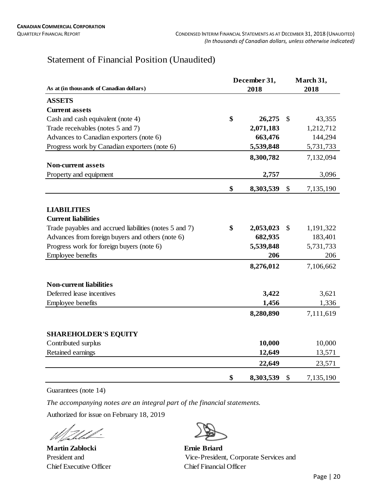### Statement of Financial Position (Unaudited)

|                                                        | December 31, |           |               | March 31, |  |
|--------------------------------------------------------|--------------|-----------|---------------|-----------|--|
| As at (in thousands of Canadian dollars)               |              | 2018      | 2018          |           |  |
| <b>ASSETS</b>                                          |              |           |               |           |  |
| <b>Current assets</b>                                  |              |           |               |           |  |
| Cash and cash equivalent (note 4)                      | \$           | 26,275    | $\mathbb{S}$  | 43,355    |  |
| Trade receivables (notes 5 and 7)                      |              | 2,071,183 |               | 1,212,712 |  |
| Advances to Canadian exporters (note 6)                |              | 663,476   |               | 144,294   |  |
| Progress work by Canadian exporters (note 6)           |              | 5,539,848 |               | 5,731,733 |  |
|                                                        |              | 8,300,782 |               | 7,132,094 |  |
| <b>Non-current assets</b>                              |              |           |               |           |  |
| Property and equipment                                 |              | 2,757     |               | 3,096     |  |
|                                                        | \$           | 8,303,539 | \$            | 7,135,190 |  |
|                                                        |              |           |               |           |  |
| <b>LIABILITIES</b>                                     |              |           |               |           |  |
| <b>Current liabilities</b>                             |              |           |               |           |  |
| Trade payables and accrued liabilities (notes 5 and 7) | \$           | 2,053,023 | $\mathcal{S}$ | 1,191,322 |  |
| Advances from foreign buyers and others (note 6)       |              | 682,935   |               | 183,401   |  |
| Progress work for foreign buyers (note 6)              |              | 5,539,848 |               | 5,731,733 |  |
| Employee benefits                                      |              | 206       |               | 206       |  |
|                                                        |              | 8,276,012 |               | 7,106,662 |  |
| <b>Non-current liabilities</b>                         |              |           |               |           |  |
| Deferred lease incentives                              |              | 3,422     |               | 3,621     |  |
| Employee benefits                                      |              | 1,456     |               | 1,336     |  |
|                                                        |              | 8,280,890 |               | 7,111,619 |  |
| <b>SHAREHOLDER'S EQUITY</b>                            |              |           |               |           |  |
| Contributed surplus                                    |              | 10,000    |               | 10,000    |  |
| Retained earnings                                      |              | 12,649    |               | 13,571    |  |
|                                                        |              | 22,649    |               | 23,571    |  |
|                                                        | \$           | 8,303,539 | \$            | 7,135,190 |  |

Guarantees (note 14)

*The accompanying notes are an integral part of the financial statements.*

Authorized for issue on February 18, 2019

fald-Vi

**Martin Zablocki Ernie Briard** Chief Executive Officer Chief Financial Officer

President and Vice-President, Corporate Services and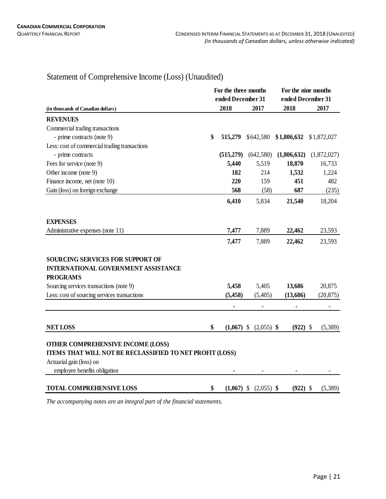## Statement of Comprehensive Income (Loss) (Unaudited)

|                                                                                                          | For the three months<br>ended December 31 |              |                           | For the nine months<br>ended December 31 |             |  |  |
|----------------------------------------------------------------------------------------------------------|-------------------------------------------|--------------|---------------------------|------------------------------------------|-------------|--|--|
| (in thousands of Canadian dollars)                                                                       |                                           | 2018         | 2017                      | 2018                                     | 2017        |  |  |
| <b>REVENUES</b>                                                                                          |                                           |              |                           |                                          |             |  |  |
| Commercial trading transactions                                                                          |                                           |              |                           |                                          |             |  |  |
| - prime contracts (note 9)                                                                               | \$                                        | 515,279      | \$642,580                 | $$1,806,632$ $$1,872,027$                |             |  |  |
| Less: cost of commercial trading transactions                                                            |                                           |              |                           |                                          |             |  |  |
| - prime contracts                                                                                        |                                           | (515, 279)   | (642,580)                 | (1,806,632)                              | (1,872,027) |  |  |
| Fees for service (note 9)                                                                                |                                           | 5,440        | 5,519                     | 18,870                                   | 16,733      |  |  |
| Other income (note 9)                                                                                    |                                           | 182          | 214                       | 1,532                                    | 1,224       |  |  |
| Finance income, net (note 10)                                                                            |                                           | 220          | 159                       | 451                                      | 482         |  |  |
| Gain (loss) on foreign exchange                                                                          |                                           | 568          | (58)                      | 687                                      | (235)       |  |  |
|                                                                                                          |                                           | 6,410        | 5,834                     | 21,540                                   | 18,204      |  |  |
| <b>EXPENSES</b>                                                                                          |                                           |              |                           |                                          |             |  |  |
| Administrative expenses (note 11)                                                                        |                                           | 7,477        | 7,889                     | 22,462                                   | 23,593      |  |  |
|                                                                                                          |                                           | 7,477        | 7,889                     | 22,462                                   | 23,593      |  |  |
| <b>SOURCING SERVICES FOR SUPPORT OF</b><br><b>INTERNATIONAL GOVERNMENT ASSISTANCE</b><br><b>PROGRAMS</b> |                                           |              |                           |                                          |             |  |  |
| Sourcing services transactions (note 9)                                                                  |                                           | 5,458        | 5,405                     | 13,686                                   | 20,875      |  |  |
| Less: cost of sourcing services transactions                                                             |                                           | (5, 458)     | (5,405)                   | (13,686)                                 | (20, 875)   |  |  |
|                                                                                                          |                                           |              |                           |                                          |             |  |  |
| <b>NET LOSS</b>                                                                                          | \$                                        | $(1,067)$ \$ | $(2,055)$ \$              | $(922)$ \$                               | (5,389)     |  |  |
| <b>OTHER COMPREHENSIVE INCOME (LOSS)</b><br>ITEMS THAT WILL NOT BE RECLASSIFIED TO NET PROFIT (LOSS)     |                                           |              |                           |                                          |             |  |  |
| Actuarial gain (loss) on                                                                                 |                                           |              |                           |                                          |             |  |  |
| employee benefits obligation                                                                             |                                           |              |                           |                                          |             |  |  |
| <b>TOTAL COMPREHENSIVE LOSS</b>                                                                          | \$                                        |              | $(1,067)$ \$ $(2,055)$ \$ | $(922)$ \$                               | (5,389)     |  |  |

*The accompanying notes are an integral part of the financial statements.*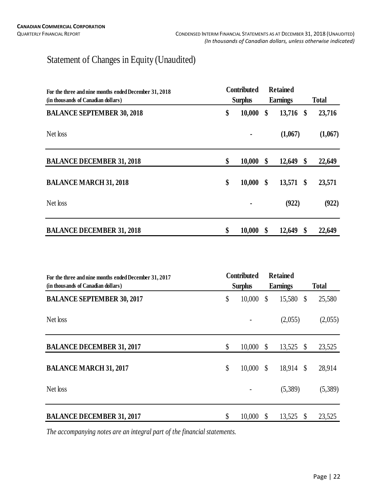## Statement of Changes in Equity (Unaudited)

| For the three and nine months ended December 31, 2018 | <b>Contributed</b> |                | <b>Retained</b>   |     |              |
|-------------------------------------------------------|--------------------|----------------|-------------------|-----|--------------|
| (in thousands of Canadian dollars)                    |                    | <b>Surplus</b> | <b>Earnings</b>   |     | <b>Total</b> |
| <b>BALANCE SEPTEMBER 30, 2018</b>                     | \$                 | 10,000         | \$<br>$13,716$ \$ |     | 23,716       |
| Net loss                                              |                    |                | (1,067)           |     | (1,067)      |
| <b>BALANCE DECEMBER 31, 2018</b>                      | \$                 | 10,000         | \$<br>12,649      | \$  | 22,649       |
| <b>BALANCE MARCH 31, 2018</b>                         | \$                 | 10,000         | \$<br>13,571      | -\$ | 23,571       |
| Net loss                                              |                    |                | (922)             |     | (922)        |
| <b>BALANCE DECEMBER 31, 2018</b>                      | \$                 | 10,000         | \$<br>12,649      | \$  | 22,649       |

| For the three and nine months ended December 31, 2017<br>(in thousands of Canadian dollars) | <b>Contributed</b><br><b>Surplus</b> |        | <b>Retained</b><br><b>Earnings</b> |         |                           | <b>Total</b> |
|---------------------------------------------------------------------------------------------|--------------------------------------|--------|------------------------------------|---------|---------------------------|--------------|
| <b>BALANCE SEPTEMBER 30, 2017</b>                                                           | \$                                   | 10,000 | \$                                 | 15,580  | $\mathcal{S}$             | 25,580       |
| Net loss                                                                                    |                                      |        |                                    | (2,055) |                           | (2,055)      |
| <b>BALANCE DECEMBER 31, 2017</b>                                                            | \$                                   | 10,000 | $\mathcal{S}$                      | 13,525  | $\boldsymbol{\mathsf{S}}$ | 23,525       |
| <b>BALANCE MARCH 31, 2017</b>                                                               | \$                                   | 10,000 | - \$                               | 18,914  | $\mathcal{S}$             | 28,914       |
| Net loss                                                                                    |                                      |        |                                    | (5,389) |                           | (5,389)      |
| <b>BALANCE DECEMBER 31, 2017</b>                                                            | \$                                   | 10,000 | \$                                 | 13,525  | <sup>\$</sup>             | 23,525       |

*The accompanying notes are an integral part of the financial statements.*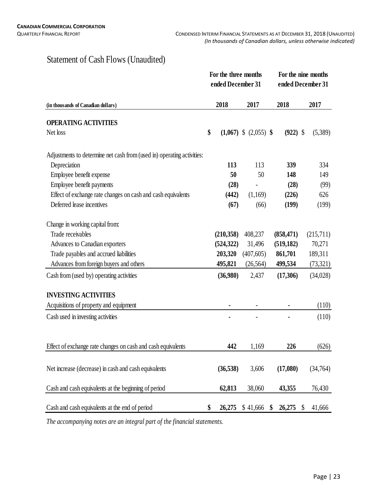### Statement of Cash Flows (Unaudited)

|                                                                        | For the three months<br>ended December 31 |            |                           | For the nine months<br>ended December 31 |            |                           |           |  |  |
|------------------------------------------------------------------------|-------------------------------------------|------------|---------------------------|------------------------------------------|------------|---------------------------|-----------|--|--|
| (in thousands of Canadian dollars)                                     |                                           | 2018       | 2017                      |                                          | 2018       |                           | 2017      |  |  |
| <b>OPERATING ACTIVITIES</b>                                            |                                           |            |                           |                                          |            |                           |           |  |  |
| Net loss                                                               | \$                                        |            | $(1,067)$ \$ $(2,055)$ \$ |                                          | $(922)$ \$ |                           | (5,389)   |  |  |
| Adjustments to determine net cash from (used in) operating activities: |                                           |            |                           |                                          |            |                           |           |  |  |
| Depreciation                                                           |                                           | 113        | 113                       |                                          | 339        |                           | 334       |  |  |
| Employee benefit expense                                               |                                           | 50         | 50                        |                                          | 148        |                           | 149       |  |  |
| Employee benefit payments                                              |                                           | (28)       |                           |                                          | (28)       |                           | (99)      |  |  |
| Effect of exchange rate changes on cash and cash equivalents           |                                           | (442)      | (1,169)                   |                                          | (226)      |                           | 626       |  |  |
| Deferred lease incentives                                              |                                           | (67)       | (66)                      |                                          | (199)      |                           | (199)     |  |  |
| Change in working capital from:                                        |                                           |            |                           |                                          |            |                           |           |  |  |
| Trade receivables                                                      |                                           | (210,358)  | 408,237                   |                                          | (858, 471) |                           | (215,711) |  |  |
| Advances to Canadian exporters                                         |                                           | (524, 322) | 31,496                    |                                          | (519, 182) |                           | 70,271    |  |  |
| Trade payables and accrued liabilities                                 |                                           | 203,320    | (407, 605)                |                                          | 861,701    |                           | 189,311   |  |  |
| Advances from foreign buyers and others                                |                                           | 495,821    | (26, 564)                 |                                          | 499,534    |                           | (73,321)  |  |  |
| Cash from (used by) operating activities                               |                                           | (36,980)   | 2,437                     |                                          | (17,306)   |                           | (34,028)  |  |  |
| <b>INVESTING ACTIVITIES</b>                                            |                                           |            |                           |                                          |            |                           |           |  |  |
| Acquisitions of property and equipment                                 |                                           |            |                           |                                          |            |                           | (110)     |  |  |
| Cash used in investing activities                                      |                                           |            |                           |                                          |            |                           | (110)     |  |  |
|                                                                        |                                           |            |                           |                                          |            |                           |           |  |  |
| Effect of exchange rate changes on cash and cash equivalents           |                                           | 442        | 1,169                     |                                          | 226        |                           | (626)     |  |  |
| Net increase (decrease) in cash and cash equivalents                   |                                           | (36,538)   | 3,606                     |                                          | (17,080)   |                           | (34,764)  |  |  |
| Cash and cash equivalents at the beginning of period                   |                                           | 62,813     | 38,060                    |                                          | 43,355     |                           | 76,430    |  |  |
| Cash and cash equivalents at the end of period                         | \$                                        | 26,275     | \$41,666                  | \$                                       | 26,275     | $\boldsymbol{\mathsf{S}}$ | 41,666    |  |  |

*The accompanying notes are an integral part of the financial statements.*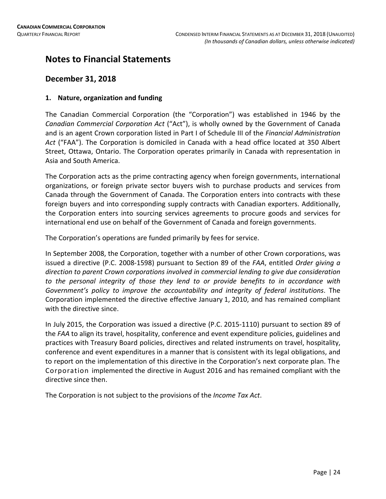### **Notes to Financial Statements**

### **December 31, 2018**

### **1. Nature, organization and funding**

The Canadian Commercial Corporation (the "Corporation") was established in 1946 by the *Canadian Commercial Corporation Act* ("Act"), is wholly owned by the Government of Canada and is an agent Crown corporation listed in Part I of Schedule III of the *Financial Administration Act* ("FAA"). The Corporation is domiciled in Canada with a head office located at 350 Albert Street, Ottawa, Ontario. The Corporation operates primarily in Canada with representation in Asia and South America.

The Corporation acts as the prime contracting agency when foreign governments, international organizations, or foreign private sector buyers wish to purchase products and services from Canada through the Government of Canada. The Corporation enters into contracts with these foreign buyers and into corresponding supply contracts with Canadian exporters. Additionally, the Corporation enters into sourcing services agreements to procure goods and services for international end use on behalf of the Government of Canada and foreign governments.

The Corporation's operations are funded primarily by fees for service.

In September 2008, the Corporation, together with a number of other Crown corporations, was issued a directive (P.C. 2008-1598) pursuant to Section 89 of the *FAA*, entitled *Order giving a direction to parent Crown corporations involved in commercial lending to give due consideration to the personal integrity of those they lend to or provide benefits to in accordance with Government's policy to improve the accountability and integrity of federal institutions*. The Corporation implemented the directive effective January 1, 2010, and has remained compliant with the directive since.

In July 2015, the Corporation was issued a directive (P.C. 2015-1110) pursuant to section 89 of the *FAA* to align its travel, hospitality, conference and event expenditure policies, guidelines and practices with Treasury Board policies, directives and related instruments on travel, hospitality, conference and event expenditures in a manner that is consistent with its legal obligations, and to report on the implementation of this directive in the Corporation's next corporate plan. The Corporation implemented the directive in August 2016 and has remained compliant with the directive since then.

The Corporation is not subject to the provisions of the *Income Tax Act*.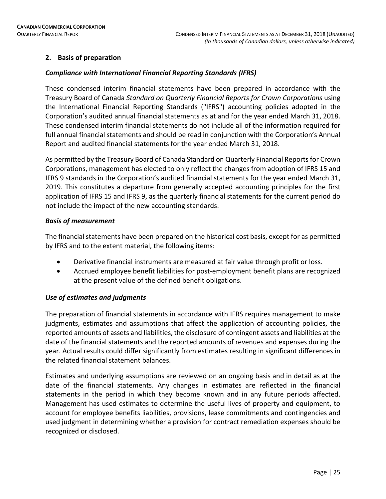### **2. Basis of preparation**

### *Compliance with International Financial Reporting Standards (IFRS)*

These condensed interim financial statements have been prepared in accordance with the Treasury Board of Canada *Standard on Quarterly Financial Reports for Crown Corporations* using the International Financial Reporting Standards ("IFRS") accounting policies adopted in the Corporation's audited annual financial statements as at and for the year ended March 31, 2018. These condensed interim financial statements do not include all of the information required for full annual financial statements and should be read in conjunction with the Corporation's Annual Report and audited financial statements for the year ended March 31, 2018.

As permitted by the Treasury Board of Canada Standard on Quarterly Financial Reports for Crown Corporations, management has elected to only reflect the changes from adoption of IFRS 15 and IFRS 9 standards in the Corporation's audited financial statements for the year ended March 31, 2019. This constitutes a departure from generally accepted accounting principles for the first application of IFRS 15 and IFRS 9, as the quarterly financial statements for the current period do not include the impact of the new accounting standards.

### *Basis of measurement*

The financial statements have been prepared on the historical cost basis, except for as permitted by IFRS and to the extent material, the following items:

- Derivative financial instruments are measured at fair value through profit or loss.
- Accrued employee benefit liabilities for post-employment benefit plans are recognized at the present value of the defined benefit obligations.

### *Use of estimates and judgments*

The preparation of financial statements in accordance with IFRS requires management to make judgments, estimates and assumptions that affect the application of accounting policies, the reported amounts of assets and liabilities, the disclosure of contingent assets and liabilities at the date of the financial statements and the reported amounts of revenues and expenses during the year. Actual results could differ significantly from estimates resulting in significant differences in the related financial statement balances.

Estimates and underlying assumptions are reviewed on an ongoing basis and in detail as at the date of the financial statements. Any changes in estimates are reflected in the financial statements in the period in which they become known and in any future periods affected. Management has used estimates to determine the useful lives of property and equipment, to account for employee benefits liabilities, provisions, lease commitments and contingencies and used judgment in determining whether a provision for contract remediation expenses should be recognized or disclosed.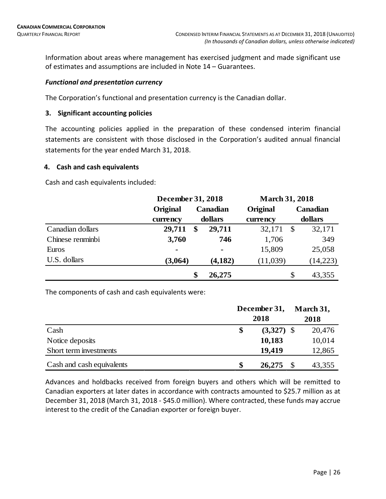Information about areas where management has exercised judgment and made significant use of estimates and assumptions are included in Note 14 – Guarantees.

### *Functional and presentation currency*

The Corporation's functional and presentation currency is the Canadian dollar.

### **3. Significant accounting policies**

The accounting policies applied in the preparation of these condensed interim financial statements are consistent with those disclosed in the Corporation's audited annual financial statements for the year ended March 31, 2018.

### **4. Cash and cash equivalents**

Cash and cash equivalents included:

|                  | <b>December 31, 2018</b> |                |          | <b>March 31, 2018</b> |
|------------------|--------------------------|----------------|----------|-----------------------|
|                  | Original                 | Canadian       | Original | <b>Canadian</b>       |
|                  | currency                 | dollars        |          | dollars               |
| Canadian dollars | 29,711                   | 29,711<br>\$   | 32,171   | 32,171<br>\$          |
| Chinese renminbi | 3,760                    | 746            | 1,706    | 349                   |
| Euros            | $\blacksquare$           | $\blacksquare$ | 15,809   | 25,058                |
| U.S. dollars     | (3,064)                  | (4, 182)       | (11,039) | (14,223)              |
|                  |                          | 26,275<br>\$   |          | \$<br>43,355          |

The components of cash and cash equivalents were:

|                           | December 31,<br>2018 | March 31,<br>2018 |
|---------------------------|----------------------|-------------------|
| Cash                      | $(3,327)$ \$<br>\$   | 20,476            |
| Notice deposits           | 10,183               | 10,014            |
| Short term investments    | 19,419               | 12,865            |
| Cash and cash equivalents | \$<br>26,275         | 43,355            |

Advances and holdbacks received from foreign buyers and others which will be remitted to Canadian exporters at later dates in accordance with contracts amounted to \$25.7 million as at December 31, 2018 (March 31, 2018 - \$45.0 million). Where contracted, these funds may accrue interest to the credit of the Canadian exporter or foreign buyer.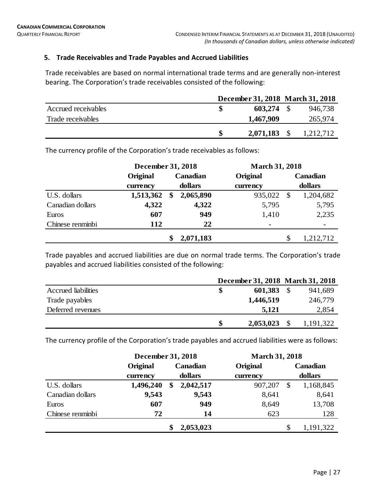### **5. Trade Receivables and Trade Payables and Accrued Liabilities**

Trade receivables are based on normal international trade terms and are generally non-interest bearing. The Corporation's trade receivables consisted of the following:

|                     |              | December 31, 2018 March 31, 2018 |
|---------------------|--------------|----------------------------------|
| Accrued receivables | $603,274$ \$ | 946,738                          |
| Trade receivables   | 1,467,909    | 265,974                          |
|                     | 2,071,183    | 1,212,712                        |

The currency profile of the Corporation's trade receivables as follows:

|                  | December 31, 2018 |          | <b>March 31, 2018</b> |          |               |           |
|------------------|-------------------|----------|-----------------------|----------|---------------|-----------|
|                  | Original          | Canadian |                       | Original |               | Canadian  |
|                  | currency          |          | dollars               | currency |               | dollars   |
| U.S. dollars     | 1,513,362         | \$       | 2,065,890             | 935,022  | $\mathcal{S}$ | 1,204,682 |
| Canadian dollars | 4,322             |          | 4,322                 | 5,795    |               | 5,795     |
| Euros            | 607               |          | 949                   | 1,410    |               | 2,235     |
| Chinese renminbi | 112               |          | 22                    |          |               |           |
|                  |                   |          | 2,071,183             |          | \$            | 1,212,712 |

Trade payables and accrued liabilities are due on normal trade terms. The Corporation's trade payables and accrued liabilities consisted of the following:

|                            |   |           | December 31, 2018 March 31, 2018 |
|----------------------------|---|-----------|----------------------------------|
| <b>Accrued</b> liabilities |   | 601,383   | 941,689                          |
| Trade payables             |   | 1,446,519 | 246,779                          |
| Deferred revenues          |   | 5,121     | 2,854                            |
|                            | S | 2,053,023 | 1,191,322                        |

The currency profile of the Corporation's trade payables and accrued liabilities were as follows:

|                  | December 31, 2018 |          |           | <b>March 31, 2018</b> |                 |  |  |
|------------------|-------------------|----------|-----------|-----------------------|-----------------|--|--|
|                  | Original          | Canadian |           | Original              | Canadian        |  |  |
|                  | currency          |          | dollars   | currency              | dollars         |  |  |
| U.S. dollars     | 1,496,240         | \$       | 2,042,517 | 907,207               | \$<br>1,168,845 |  |  |
| Canadian dollars | 9,543             |          | 9,543     | 8,641                 | 8,641           |  |  |
| Euros            | 607               |          | 949       | 8,649                 | 13,708          |  |  |
| Chinese renminbi | 72                |          | 14        | 623                   | 128             |  |  |
|                  |                   | \$       | 2,053,023 |                       | \$<br>1,191,322 |  |  |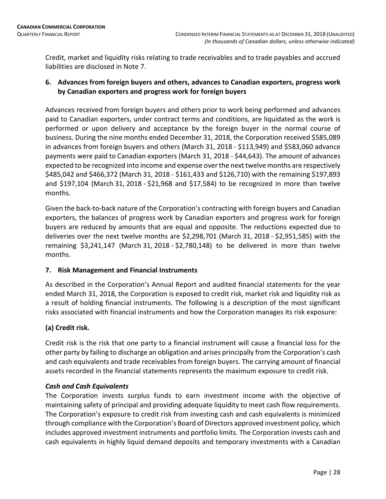Credit, market and liquidity risks relating to trade receivables and to trade payables and accrued liabilities are disclosed in Note 7.

### **6. Advances from foreign buyers and others, advances to Canadian exporters, progress work by Canadian exporters and progress work for foreign buyers**

Advances received from foreign buyers and others prior to work being performed and advances paid to Canadian exporters, under contract terms and conditions, are liquidated as the work is performed or upon delivery and acceptance by the foreign buyer in the normal course of business. During the nine months ended December 31, 2018, the Corporation received \$585,089 in advances from foreign buyers and others (March 31, 2018 - \$113,949) and \$583,060 advance payments were paid to Canadian exporters (March 31, 2018 - \$44,643). The amount of advances expected to be recognized into income and expense over the next twelve months are respectively \$485,042 and \$466,372 (March 31, 2018 - \$161,433 and \$126,710) with the remaining \$197,893 and \$197,104 (March 31, 2018 - \$21,968 and \$17,584) to be recognized in more than twelve months.

Given the back-to-back nature of the Corporation's contracting with foreign buyers and Canadian exporters, the balances of progress work by Canadian exporters and progress work for foreign buyers are reduced by amounts that are equal and opposite. The reductions expected due to deliveries over the next twelve months are \$2,298,701 (March 31, 2018 - \$2,951,585) with the remaining \$3,241,147 (March 31, 2018 - \$2,780,148) to be delivered in more than twelve months.

### **7. Risk Management and Financial Instruments**

As described in the Corporation's Annual Report and audited financial statements for the year ended March 31, 2018, the Corporation is exposed to credit risk, market risk and liquidity risk as a result of holding financial instruments. The following is a description of the most significant risks associated with financial instruments and how the Corporation manages its risk exposure:

### **(a) Credit risk.**

Credit risk is the risk that one party to a financial instrument will cause a financial loss for the other party by failing to discharge an obligation and arises principally from the Corporation's cash and cash equivalents and trade receivables from foreign buyers. The carrying amount of financial assets recorded in the financial statements represents the maximum exposure to credit risk.

### *Cash and Cash Equivalents*

The Corporation invests surplus funds to earn investment income with the objective of maintaining safety of principal and providing adequate liquidity to meet cash flow requirements. The Corporation's exposure to credit risk from investing cash and cash equivalents is minimized through compliance with the Corporation's Board of Directors approved investment policy, which includes approved investment instruments and portfolio limits. The Corporation invests cash and cash equivalents in highly liquid demand deposits and temporary investments with a Canadian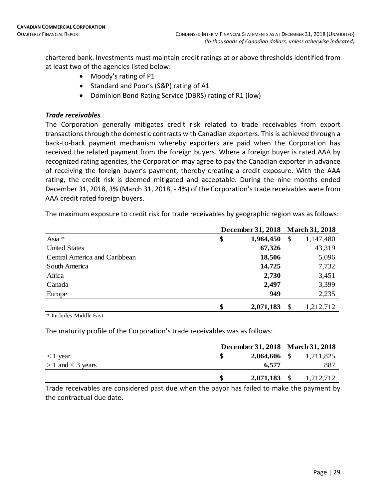chartered bank. Investments must maintain credit ratings at or above thresholds identified from at least two of the agencies listed below:

- Moody's rating of P1
- Standard and Poor's (S&P) rating of A1
- Dominion Bond Rating Service (DBRS) rating of R1 (low)

### *Trade receivables*

The Corporation generally mitigates credit risk related to trade receivables from export transactions through the domestic contracts with Canadian exporters. This is achieved through a back-to-back payment mechanism whereby exporters are paid when the Corporation has received the related payment from the foreign buyers. Where a foreign buyer is rated AAA by recognized rating agencies, the Corporation may agree to pay the Canadian exporter in advance of receiving the foreign buyer's payment, thereby creating a credit exposure. With the AAA rating, the credit risk is deemed mitigated and acceptable. During the nine months ended December 31, 2018, 3% (March 31, 2018, - 4%) of the Corporation's trade receivables were from AAA credit rated foreign buyers.

The maximum exposure to credit risk for trade receivables by geographic region was as follows:

|                               | December 31, 2018 March 31, 2018 |           |      |           |
|-------------------------------|----------------------------------|-----------|------|-----------|
| Asia *                        | \$                               | 1,964,450 | -\$  | 1,147,480 |
| <b>United States</b>          |                                  | 67,326    |      | 43,319    |
| Central America and Caribbean |                                  | 18,506    |      | 5,096     |
| South America                 |                                  | 14,725    |      | 7,732     |
| Africa                        |                                  | 2,730     |      | 3,451     |
| Canada                        |                                  | 2,497     |      | 3,399     |
| Europe                        |                                  | 949       |      | 2,235     |
|                               | \$                               | 2,071,183 | - \$ | 1,212,712 |

\* Includes Middle East

The maturity profile of the Corporation's trade receivables was as follows:

|                       | December 31, 2018 March 31, 2018 |  |           |  |
|-----------------------|----------------------------------|--|-----------|--|
| $<$ 1 year            | $2,064,606$ \$                   |  | 1,211,825 |  |
| $> 1$ and $<$ 3 years | 6,577                            |  | -887      |  |
|                       | $2,071,183$ \$                   |  | 1,212,712 |  |

Trade receivables are considered past due when the payor has failed to make the payment by the contractual due date.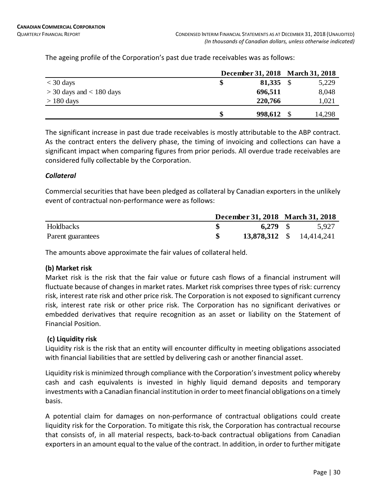|                              |         | December 31, 2018 March 31, 2018 |
|------------------------------|---------|----------------------------------|
| $<$ 30 days                  | 81,335  | 5,229                            |
| $>$ 30 days and $<$ 180 days | 696,511 | 8,048                            |
| $> 180$ days                 | 220,766 | 1,021                            |
|                              | 998,612 | 14,298                           |

The ageing profile of the Corporation's past due trade receivables was as follows:

The significant increase in past due trade receivables is mostly attributable to the ABP contract. As the contract enters the delivery phase, the timing of invoicing and collections can have a significant impact when comparing figures from prior periods. All overdue trade receivables are considered fully collectable by the Corporation.

### *Collateral*

Commercial securities that have been pledged as collateral by Canadian exporters in the unlikely event of contractual non-performance were as follows:

|                   | December 31, 2018 March 31, 2018 |                          |
|-------------------|----------------------------------|--------------------------|
| Holdbacks         | $6.279$ \$                       | 5,927                    |
| Parent guarantees |                                  | 13,878,312 \$ 14,414,241 |

The amounts above approximate the fair values of collateral held.

### **(b) Market risk**

Market risk is the risk that the fair value or future cash flows of a financial instrument will fluctuate because of changes in market rates. Market risk comprises three types of risk: currency risk, interest rate risk and other price risk. The Corporation is not exposed to significant currency risk, interest rate risk or other price risk. The Corporation has no significant derivatives or embedded derivatives that require recognition as an asset or liability on the Statement of Financial Position.

### **(c) Liquidity risk**

Liquidity risk is the risk that an entity will encounter difficulty in meeting obligations associated with financial liabilities that are settled by delivering cash or another financial asset.

Liquidity risk is minimized through compliance with the Corporation's investment policy whereby cash and cash equivalents is invested in highly liquid demand deposits and temporary investments with a Canadian financial institution in order to meet financial obligations on a timely basis.

A potential claim for damages on non-performance of contractual obligations could create liquidity risk for the Corporation. To mitigate this risk, the Corporation has contractual recourse that consists of, in all material respects, back-to-back contractual obligations from Canadian exporters in an amount equal to the value of the contract. In addition, in order to further mitigate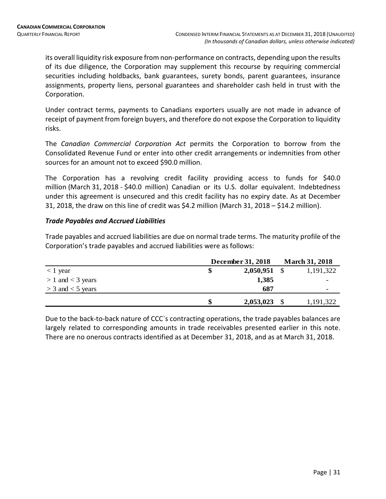its overall liquidity risk exposure from non-performance on contracts, depending upon the results of its due diligence, the Corporation may supplement this recourse by requiring commercial securities including holdbacks, bank guarantees, surety bonds, parent guarantees, insurance assignments, property liens, personal guarantees and shareholder cash held in trust with the Corporation.

Under contract terms, payments to Canadians exporters usually are not made in advance of receipt of payment from foreign buyers, and therefore do not expose the Corporation to liquidity risks.

The *Canadian Commercial Corporation Act* permits the Corporation to borrow from the Consolidated Revenue Fund or enter into other credit arrangements or indemnities from other sources for an amount not to exceed \$90.0 million.

The Corporation has a revolving credit facility providing access to funds for \$40.0 million (March 31, 2018 - \$40.0 million) Canadian or its U.S. dollar equivalent. Indebtedness under this agreement is unsecured and this credit facility has no expiry date. As at December 31, 2018, the draw on this line of credit was \$4.2 million (March 31, 2018 – \$14.2 million).

### *Trade Payables and Accrued Liabilities*

Trade payables and accrued liabilities are due on normal trade terms. The maturity profile of the Corporation's trade payables and accrued liabilities were as follows:

|                       | December 31, 2018 | <b>March 31, 2018</b>    |
|-----------------------|-------------------|--------------------------|
| $<$ 1 year            | 2,050,951         | 1,191,322                |
| $> 1$ and $<$ 3 years | 1,385             | -                        |
| $>$ 3 and $<$ 5 years | 687               | $\overline{\phantom{0}}$ |
|                       | 2,053,023         | 1,191,322                |

Due to the back-to-back nature of CCC`s contracting operations, the trade payables balances are largely related to corresponding amounts in trade receivables presented earlier in this note. There are no onerous contracts identified as at December 31, 2018, and as at March 31, 2018.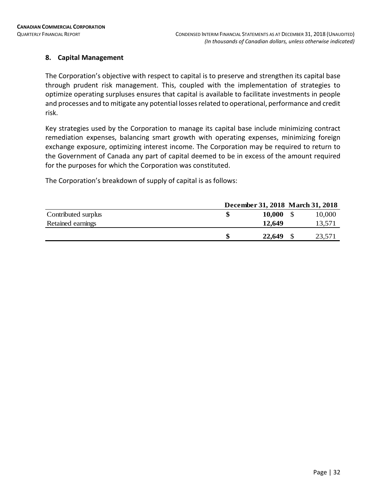### **8. Capital Management**

The Corporation's objective with respect to capital is to preserve and strengthen its capital base through prudent risk management. This, coupled with the implementation of strategies to optimize operating surpluses ensures that capital is available to facilitate investments in people and processes and to mitigate any potential losses related to operational, performance and credit risk.

Key strategies used by the Corporation to manage its capital base include minimizing contract remediation expenses, balancing smart growth with operating expenses, minimizing foreign exchange exposure, optimizing interest income. The Corporation may be required to return to the Government of Canada any part of capital deemed to be in excess of the amount required for the purposes for which the Corporation was constituted.

The Corporation's breakdown of supply of capital is as follows:

|                     | December 31, 2018 March 31, 2018 |               |        |
|---------------------|----------------------------------|---------------|--------|
| Contributed surplus | \$                               | <b>10,000</b> | 10,000 |
| Retained earnings   |                                  | 12,649        | 13,571 |
|                     |                                  | 22,649        | 23,571 |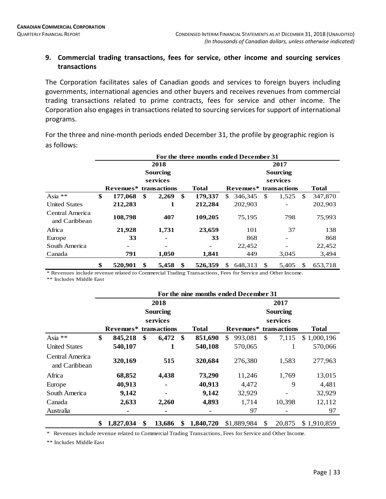### **9. Commercial trading transactions, fees for service, other income and sourcing services transactions**

The Corporation facilitates sales of Canadian goods and services to foreign buyers including governments, international agencies and other buyers and receives revenues from commercial trading transactions related to prime contracts, fees for service and other income. The Corporation also engages in transactions related to sourcing services for support of international programs.

For the three and nine-month periods ended December 31, the profile by geographic region is as follows:

|                                  |                         |                                                       |    |       |    | For the three months ended December 31 |     |                                                    |    |       |     |         |  |  |  |  |
|----------------------------------|-------------------------|-------------------------------------------------------|----|-------|----|----------------------------------------|-----|----------------------------------------------------|----|-------|-----|---------|--|--|--|--|
|                                  | 2018<br><b>Sourcing</b> |                                                       |    |       |    |                                        |     | 2017<br><b>Sourcing</b>                            |    |       |     |         |  |  |  |  |
|                                  |                         | services<br>Revenues*<br>transactions<br><b>Total</b> |    |       |    |                                        |     | services<br><b>Total</b><br>Revenues* transactions |    |       |     |         |  |  |  |  |
| Asia **                          | \$                      | 177,068                                               | \$ | 2,269 | \$ | 179,337                                | \$. | 346.345                                            | \$ | 1,525 | \$. | 347,870 |  |  |  |  |
| <b>United States</b>             |                         | 212,283                                               |    | 1     |    | 212,284                                |     | 202,903                                            |    |       |     | 202,903 |  |  |  |  |
| Central America<br>and Caribbean |                         | 108,798                                               |    | 407   |    | 109,205                                |     | 75,195                                             |    | 798   |     | 75,993  |  |  |  |  |
| Africa                           |                         | 21,928                                                |    | 1,731 |    | 23,659                                 |     | 101                                                |    | 37    |     | 138     |  |  |  |  |
| Europe                           |                         | 33                                                    |    | -     |    | 33                                     |     | 868                                                |    |       |     | 868     |  |  |  |  |
| South America                    |                         |                                                       |    | ۰     |    |                                        |     | 22,452                                             |    |       |     | 22,452  |  |  |  |  |
| Canada                           |                         | 791                                                   |    | 1,050 |    | 1,841                                  |     | 449                                                |    | 3,045 |     | 3,494   |  |  |  |  |
|                                  | \$                      | 520.901                                               | \$ | 5,458 | \$ | 526,359                                | \$  | 648.313                                            | \$ | 5.405 | \$  | 653,718 |  |  |  |  |

\* Revenues include revenue related to Commercial Trading Transactions, Fees for Service and Other Income.

\*\* Includes Middle East

|                                  |                 |                |    | For the nine months ended December 31 |                 |             |     |              |              |  |  |  |  |
|----------------------------------|-----------------|----------------|----|---------------------------------------|-----------------|-------------|-----|--------------|--------------|--|--|--|--|
|                                  |                 | 2018           |    | 2017                                  |                 |             |     |              |              |  |  |  |  |
|                                  |                 | Sourcing       |    |                                       | <b>Sourcing</b> |             |     |              |              |  |  |  |  |
|                                  |                 | services       |    |                                       |                 |             |     | services     |              |  |  |  |  |
|                                  | Revenues*       | transactions   |    | <b>Total</b>                          |                 | Revenues*   |     | transactions | <b>Total</b> |  |  |  |  |
| Asia **                          | \$<br>845,218   | \$<br>6,472    | \$ | 851,690                               | \$              | 993,081     | \$  | 7,115        | \$1,000,196  |  |  |  |  |
| <b>United States</b>             | 540,107         |                |    | 540,108                               |                 | 570,065     |     |              | 570,066      |  |  |  |  |
| Central America<br>and Caribbean | 320,169         | 515            |    | 320,684                               |                 | 276,380     |     | 1,583        | 277,963      |  |  |  |  |
| Africa                           | 68,852          | 4,438          |    | 73,290                                |                 | 11,246      |     | 1,769        | 13,015       |  |  |  |  |
| Europe                           | 40,913          |                |    | 40,913                                |                 | 4,472       |     | 9            | 4,481        |  |  |  |  |
| South America                    | 9,142           | $\blacksquare$ |    | 9,142                                 |                 | 32,929      |     |              | 32,929       |  |  |  |  |
| Canada                           | 2,633           | 2,260          |    | 4,893                                 |                 | 1,714       |     | 10,398       | 12,112       |  |  |  |  |
| Australia                        |                 |                |    |                                       |                 | 97          |     |              | 97           |  |  |  |  |
|                                  | \$<br>1,827,034 | \$<br>13,686   | \$ | 1,840,720                             |                 | \$1,889,984 | \$. | 20,875       | \$1,910,859  |  |  |  |  |

\* Revenues include revenue related to Commercial Trading Transactions, Fees for Service and Other Income.

\*\* Includes Middle East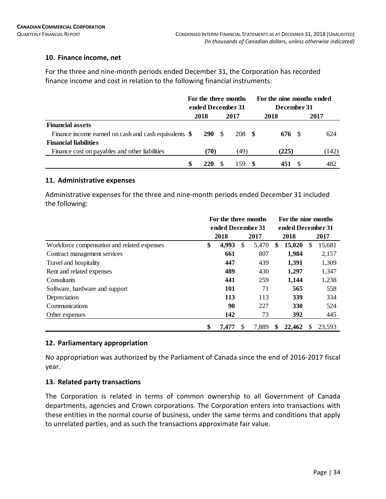### **10. Finance income, net**

For the three and nine-month periods ended December 31, the Corporation has recorded finance income and cost in relation to the following financial instruments:

|                                                       | For the three months |                   |  |        | For the nine months ended |  |       |  |  |  |  |
|-------------------------------------------------------|----------------------|-------------------|--|--------|---------------------------|--|-------|--|--|--|--|
|                                                       |                      | ended December 31 |  |        | December 31               |  |       |  |  |  |  |
|                                                       |                      | 2018<br>2017      |  |        | 2018                      |  | 2017  |  |  |  |  |
| <b>Financial assets</b>                               |                      |                   |  |        |                           |  |       |  |  |  |  |
| Finance income earned on cash and cash equivalents \$ |                      | 290 S             |  | 208 \$ | 676 S                     |  | 624   |  |  |  |  |
| <b>Financial liabilities</b>                          |                      |                   |  |        |                           |  |       |  |  |  |  |
| Finance cost on payables and other liabilities        |                      | (70)              |  | (49)   | (225)                     |  | (142) |  |  |  |  |
|                                                       | \$                   | 220               |  | 159.   | 451                       |  | 482   |  |  |  |  |

### **11. Administrative expenses**

Administrative expenses for the three and nine-month periods ended December 31 included the following:

|                                             | For the three months |                   |    |       |                   | For the nine months |   |        |      |  |  |  |  |
|---------------------------------------------|----------------------|-------------------|----|-------|-------------------|---------------------|---|--------|------|--|--|--|--|
|                                             |                      | ended December 31 |    |       | ended December 31 |                     |   |        |      |  |  |  |  |
|                                             |                      | 2018<br>2017      |    |       |                   |                     |   | 2018   | 2017 |  |  |  |  |
| Workforce compensation and related expenses | \$                   | 4,993             | \$ | 5,470 | S                 | 15,020              | S | 15,681 |      |  |  |  |  |
| Contract management services                |                      | 661               |    | 807   |                   | 1,984               |   | 2,157  |      |  |  |  |  |
| Travel and hospitality                      |                      | 447               |    | 439   |                   | 1,391               |   | 1,309  |      |  |  |  |  |
| Rent and related expenses                   |                      | 489               |    | 430   |                   | 1,297               |   | 1,347  |      |  |  |  |  |
| Consultants                                 |                      | 441               |    | 259   |                   | 1,144               |   | 1,238  |      |  |  |  |  |
| Software, hardware and support              |                      | <b>101</b>        |    | 71    |                   | 565                 |   | 558    |      |  |  |  |  |
| Depreciation                                |                      | 113               |    | 113   |                   | 339                 |   | 334    |      |  |  |  |  |
| Communications                              |                      | 90                |    | 227   |                   | 330                 |   | 524    |      |  |  |  |  |
| Other expenses                              |                      | 142               |    | 73    |                   | 392                 |   | 445    |      |  |  |  |  |
|                                             | \$                   | 7,477             | S  | 7,889 | \$                | 22,462              | S | 23.593 |      |  |  |  |  |

### **12. Parliamentary appropriation**

No appropriation was authorized by the Parliament of Canada since the end of 2016-2017 fiscal year.

### **13. Related party transactions**

The Corporation is related in terms of common ownership to all Government of Canada departments, agencies and Crown corporations. The Corporation enters into transactions with these entities in the normal course of business, under the same terms and conditions that apply to unrelated parties, and as such the transactions approximate fair value.